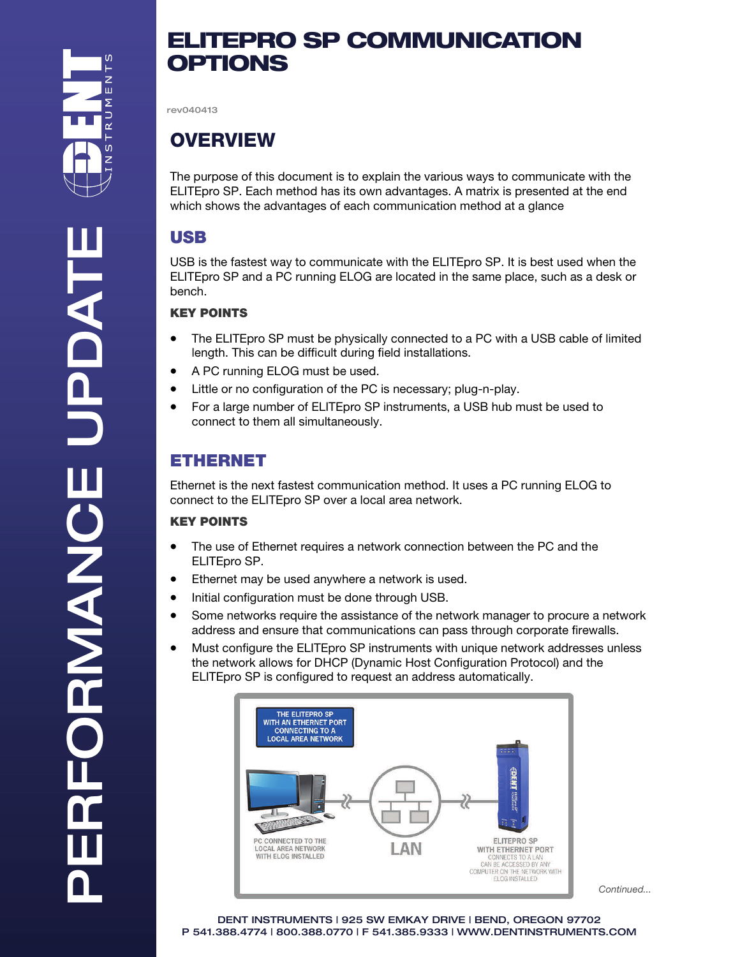PERFORMANCE UPDATE

RFORMANCE

HACEL

# ELITEPRO SP COMMUNICATION **OPTIONS**

rev040413

# **OVERVIEW**

The purpose of this document is to explain the various ways to communicate with the ELITEpro SP. Each method has its own advantages. A matrix is presented at the end which shows the advantages of each communication method at a glance

## USB

USB is the fastest way to communicate with the ELITEpro SP. It is best used when the ELITEpro SP and a PC running ELOG are located in the same place, such as a desk or bench.

### KEY POINTS

- The ELITEpro SP must be physically connected to a PC with a USB cable of limited length. This can be difficult during field installations.
- A PC running ELOG must be used.
- Little or no configuration of the PC is necessary; plug-n-play.
- For a large number of ELITEpro SP instruments, a USB hub must be used to connect to them all simultaneously.

## ETHERNET

Ethernet is the next fastest communication method. It uses a PC running ELOG to connect to the ELITEpro SP over a local area network.

#### KEY POINTS

- The use of Ethernet requires a network connection between the PC and the ELITEpro SP.
- Ethernet may be used anywhere a network is used.
- Initial configuration must be done through USB.
- Some networks require the assistance of the network manager to procure a network address and ensure that communications can pass through corporate firewalls.
- Must configure the ELITEpro SP instruments with unique network addresses unless the network allows for DHCP (Dynamic Host Configuration Protocol) and the ELITEpro SP is configured to request an address automatically.



Continued...

DENT INSTRUMENTS | 925 SW EMKAY DRIVE | BEND, OREGON 97702 P 541.388.4774 | 800.388.0770 | F 541.385.9333 | WWW.DENTINSTRUMENTS.COM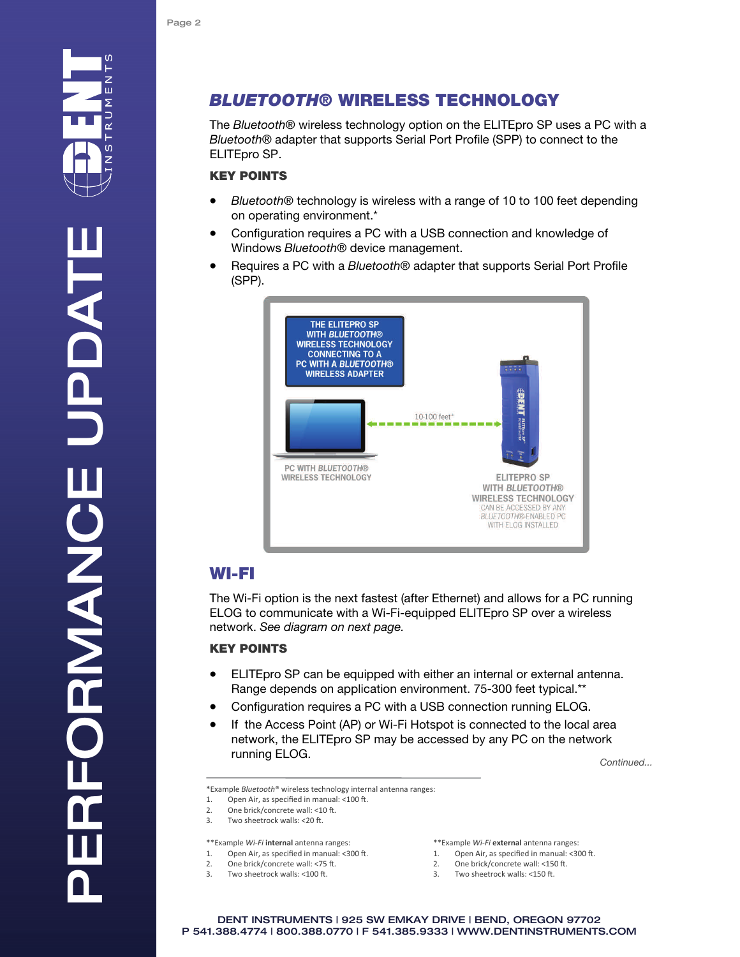## BLUETOOTH® WIRELESS TECHNOLOGY

The Bluetooth® wireless technology option on the ELITEpro SP uses a PC with a Bluetooth® adapter that supports Serial Port Profile (SPP) to connect to the ELITEpro SP.

#### KEY POINTS

- Bluetooth® technology is wireless with a range of 10 to 100 feet depending on operating environment.\*
- Configuration requires a PC with a USB connection and knowledge of Windows Bluetooth<sup>®</sup> device management.
- Requires a PC with a Bluetooth® adapter that supports Serial Port Profile (SPP).



## WI-FI

The Wi-Fi option is the next fastest (after Ethernet) and allows for a PC running ELOG to communicate with a Wi-Fi-equipped ELITEpro SP over a wireless network. See diagram on next page.

#### KEY POINTS

- ELITEpro SP can be equipped with either an internal or external antenna. Range depends on application environment. 75-300 feet typical.\*\*
- Configuration requires a PC with a USB connection running ELOG.
- If the Access Point (AP) or Wi-Fi Hotspot is connected to the local area network, the ELITEpro SP may be accessed by any PC on the network **running ELOG.** Continued...

\*Example *Bluetooth*® wireless technology internal antenna ranges:

- 1. Open Air, as specified in manual: <100 ft.
- 2. One brick/concrete wall:  $\leq 10$  ft.<br>3. Two sheetrock walls:  $\leq 20$  ft.
- Two sheetrock walls: <20 ft.

#### \*\*Example *Wi‐Fi* **internal** antenna ranges:

- 1. Open Air, as specified in manual:  $<300$  ft.<br>2. One brick/concrete wall:  $<75$  ft. One brick/concrete wall: <75 ft.
- 3. Two sheetrock walls: <100 ft.

\*\*Example *Wi‐Fi* **external** antenna ranges:

- 1. Open Air, as specified in manual: < 300 ft.
- 2. One brick/concrete wall: <150 ft.
- 3. Two sheetrock walls: <150 ft.

DENT INSTRUMENTS | 925 SW EMKAY DRIVE | BEND, OREGON 97702 P 541.388.4774 | 800.388.0770 | F 541.385.9333 | WWW.DENTINSTRUMENTS.COM

 $\Omega$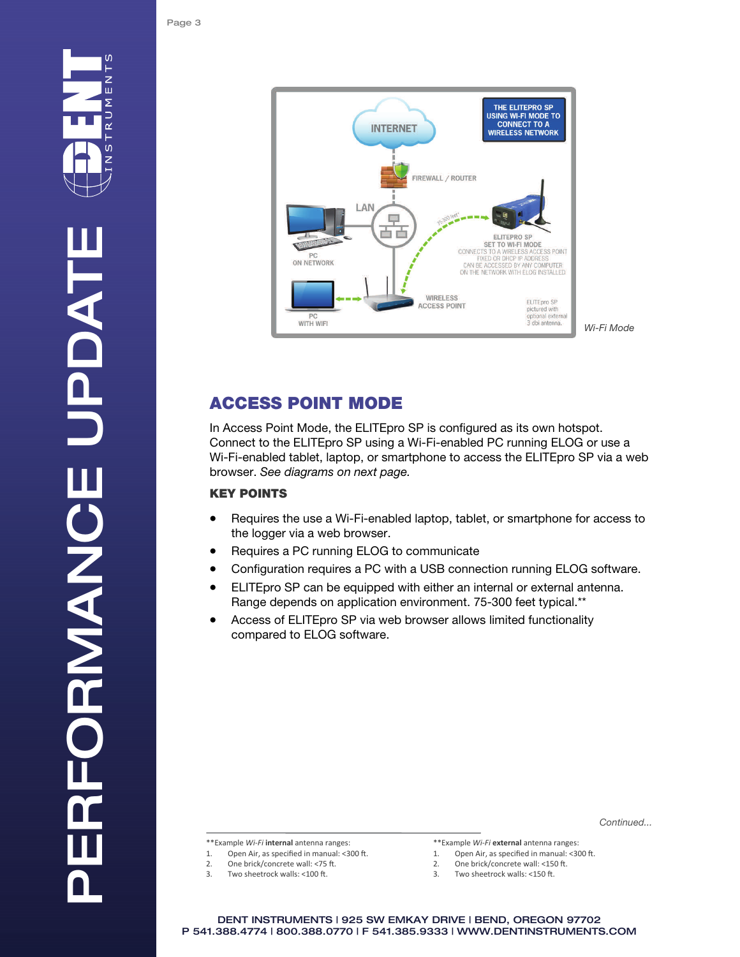

## ACCESS POINT MODE

In Access Point Mode, the ELITEpro SP is configured as its own hotspot. Connect to the ELITEpro SP using a Wi-Fi-enabled PC running ELOG or use a Wi-Fi-enabled tablet, laptop, or smartphone to access the ELITEpro SP via a web browser. See diagrams on next page.

#### KEY POINTS

- Requires the use a Wi-Fi-enabled laptop, tablet, or smartphone for access to the logger via a web browser.
- Requires a PC running ELOG to communicate
- Configuration requires a PC with a USB connection running ELOG software.
- ELITEpro SP can be equipped with either an internal or external antenna. Range depends on application environment. 75-300 feet typical.\*\*
- Access of ELITEpro SP via web browser allows limited functionality compared to ELOG software.

Continued...

\*\*Example *Wi‐Fi* **internal** antenna ranges:

- 1. Open Air, as specified in manual:  $<300$  ft.<br>2. One brick/concrete wall:  $<75$  ft.
- One brick/concrete wall: <75 ft.
- 3. Two sheetrock walls: <100 ft.

\*\*Example *Wi‐Fi* **external** antenna ranges:

- 1. Open Air, as specified in manual:  $<300$  ft.<br>2. One brick/concrete wall:  $<150$  ft.
- One brick/concrete wall: <150 ft.
- 3. Two sheetrock walls: <150 ft.

DENT INSTRUMENTS | 925 SW EMKAY DRIVE | BEND, OREGON 97702 P 541.388.4774 | 800.388.0770 | F 541.385.9333 | WWW.DENTINSTRUMENTS.COM

 $\Omega$ z Ш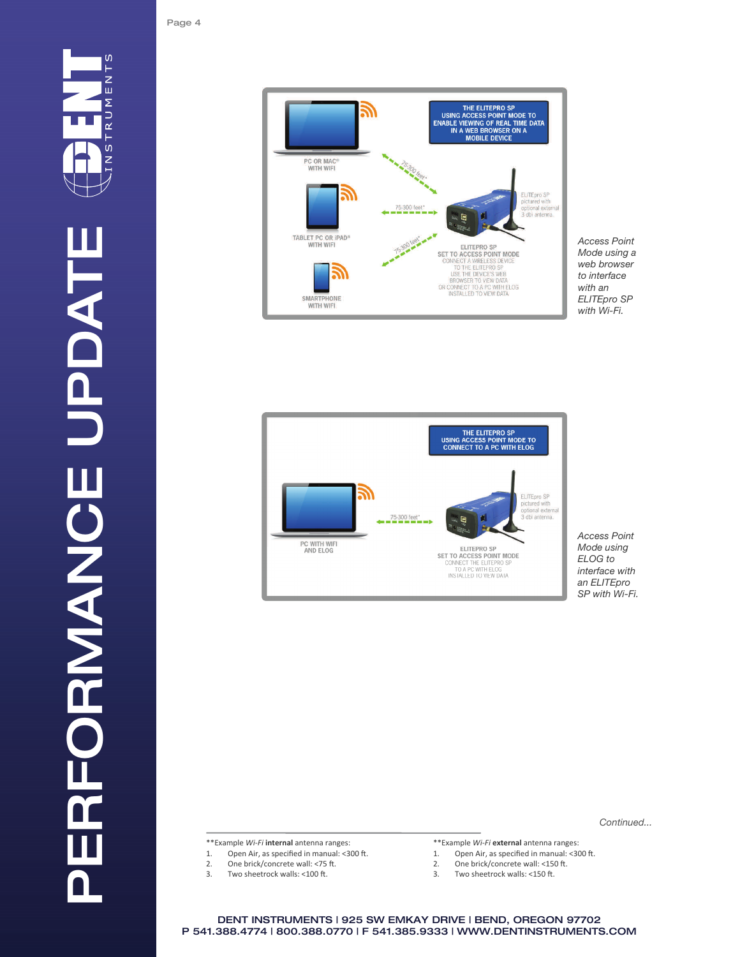





Access Point Mode using ELOG to interface with an ELITEpro SP with Wi-Fi.

Continued...

\*\*Example *Wi‐Fi* **internal** antenna ranges:

- 1. Open Air, as specified in manual:  $\langle 300 \text{ ft.} \rangle$ <br>2. One brick/concrete wall:  $\langle 75 \text{ ft.} \rangle$
- 2. One brick/concrete wall: <75 ft.<br>3. Two sheetrock walls: <100 ft.
- Two sheetrock walls: <100 ft.
- \*\*Example *Wi‐Fi* **external** antenna ranges:
- 1. Open Air, as specified in manual: <300 ft.<br>2. One brick/concrete wall: <150 ft.
- 2. One brick/concrete wall: <150 ft.<br>3. Two sheetrock walls: <150 ft.
- Two sheetrock walls: <150 ft.

DENT INSTRUMENTS | 925 SW EMKAY DRIVE | BEND, OREGON 97702 P 541.388.4774 | 800.388.0770 | F 541.385.9333 | WWW.DENTINSTRUMENTS.COM

Page 4